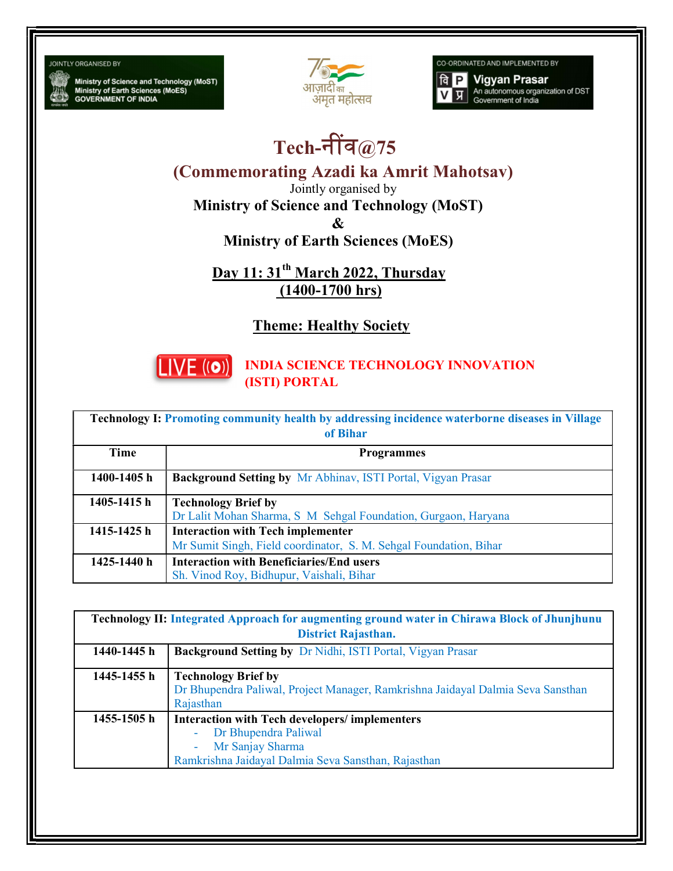**JOINTLY ORGANISED BY** 

Ministry of Science and Technology (MoST)<br>Ministry of Earth Sciences (MoES)<br>GOVERNMENT OF INDIA



CO-ORDINATED AND IMPLEMENTED BY

**Vigyan Prasar**  $a$   $P$ An autonomous organization of DST<br>Government of India प्र

## Tech-नींव $@75$

(Commemorating Azadi ka Amrit Mahotsav)

Jointly organised by

Ministry of Science and Technology (MoST)

&

Ministry of Earth Sciences (MoES)

Day 11: 31<sup>th</sup> March 2022, Thursday (1400-1700 hrs)

Theme: Healthy Society



INDIA SCIENCE TECHNOLOGY INNOVATION (ISTI) PORTAL

| Technology I: Promoting community health by addressing incidence waterborne diseases in Village<br>of Bihar |                                                                                                               |  |
|-------------------------------------------------------------------------------------------------------------|---------------------------------------------------------------------------------------------------------------|--|
| Time                                                                                                        | <b>Programmes</b>                                                                                             |  |
| 1400-1405 h                                                                                                 | <b>Background Setting by Mr Abhinav, ISTI Portal, Vigyan Prasar</b>                                           |  |
| 1405-1415 h                                                                                                 | <b>Technology Brief by</b><br>Dr Lalit Mohan Sharma, S M Sehgal Foundation, Gurgaon, Haryana                  |  |
| 1415-1425 h                                                                                                 | <b>Interaction with Tech implementer</b><br>Mr Sumit Singh, Field coordinator, S. M. Sehgal Foundation, Bihar |  |
| 1425-1440 h                                                                                                 | <b>Interaction with Beneficiaries/End users</b><br>Sh. Vinod Roy, Bidhupur, Vaishali, Bihar                   |  |

| <b>Technology II: Integrated Approach for augmenting ground water in Chirawa Block of Jhunjhunu</b> |                                                                                                                                                         |  |
|-----------------------------------------------------------------------------------------------------|---------------------------------------------------------------------------------------------------------------------------------------------------------|--|
| <b>District Rajasthan.</b>                                                                          |                                                                                                                                                         |  |
| 1440-1445 h                                                                                         | <b>Background Setting by Dr Nidhi, ISTI Portal, Vigyan Prasar</b>                                                                                       |  |
| 1445-1455 h                                                                                         | <b>Technology Brief by</b><br>Dr Bhupendra Paliwal, Project Manager, Ramkrishna Jaidayal Dalmia Seva Sansthan<br>Rajasthan                              |  |
| 1455-1505 h                                                                                         | <b>Interaction with Tech developers/implementers</b><br>Dr Bhupendra Paliwal<br>Mr Sanjay Sharma<br>Ramkrishna Jaidayal Dalmia Seva Sansthan, Rajasthan |  |